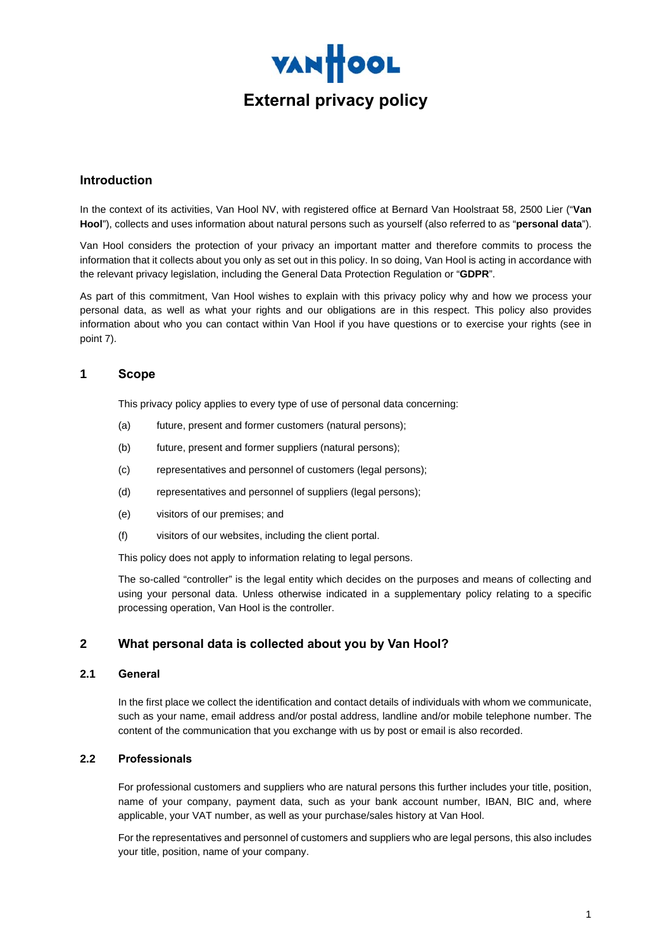

# **Introduction**

In the context of its activities, Van Hool NV, with registered office at Bernard Van Hoolstraat 58, 2500 Lier ("**Van Hool**"), collects and uses information about natural persons such as yourself (also referred to as "**personal data**").

Van Hool considers the protection of your privacy an important matter and therefore commits to process the information that it collects about you only as set out in this policy. In so doing, Van Hool is acting in accordance with the relevant privacy legislation, including the General Data Protection Regulation or "**GDPR**".

As part of this commitment, Van Hool wishes to explain with this privacy policy why and how we process your personal data, as well as what your rights and our obligations are in this respect. This policy also provides information about who you can contact within Van Hool if you have questions or to exercise your rights (see in point 7).

# **1 Scope**

This privacy policy applies to every type of use of personal data concerning:

- (a) future, present and former customers (natural persons);
- (b) future, present and former suppliers (natural persons);
- (c) representatives and personnel of customers (legal persons);
- (d) representatives and personnel of suppliers (legal persons);
- (e) visitors of our premises; and
- (f) visitors of our websites, including the client portal.

This policy does not apply to information relating to legal persons.

The so-called "controller" is the legal entity which decides on the purposes and means of collecting and using your personal data. Unless otherwise indicated in a supplementary policy relating to a specific processing operation, Van Hool is the controller.

# **2 What personal data is collected about you by Van Hool?**

## **2.1 General**

In the first place we collect the identification and contact details of individuals with whom we communicate, such as your name, email address and/or postal address, landline and/or mobile telephone number. The content of the communication that you exchange with us by post or email is also recorded.

# **2.2 Professionals**

For professional customers and suppliers who are natural persons this further includes your title, position, name of your company, payment data, such as your bank account number, IBAN, BIC and, where applicable, your VAT number, as well as your purchase/sales history at Van Hool.

For the representatives and personnel of customers and suppliers who are legal persons, this also includes your title, position, name of your company.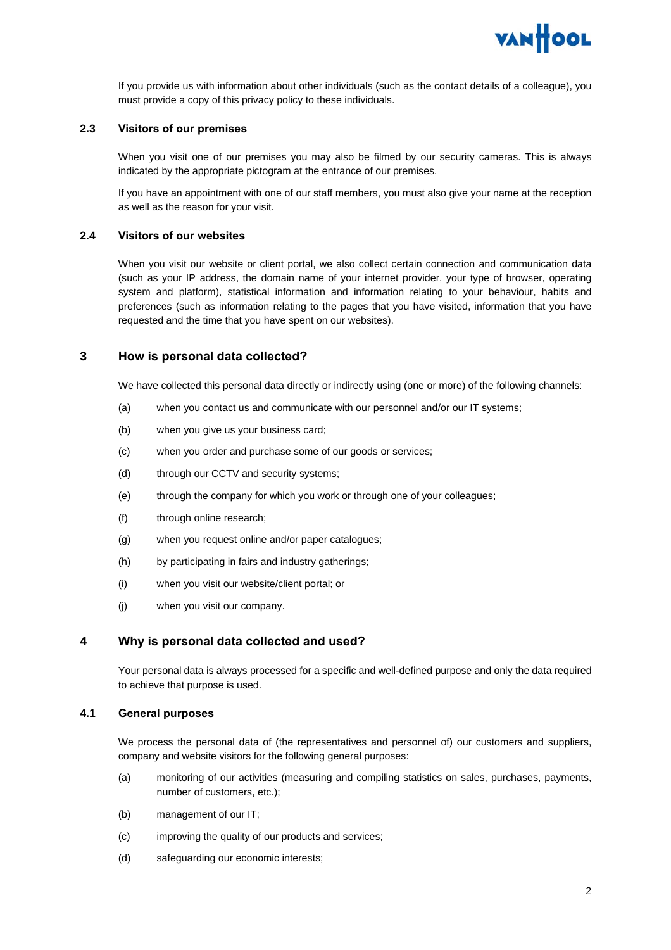

If you provide us with information about other individuals (such as the contact details of a colleague), you must provide a copy of this privacy policy to these individuals.

## **2.3 Visitors of our premises**

When you visit one of our premises you may also be filmed by our security cameras. This is always indicated by the appropriate pictogram at the entrance of our premises.

If you have an appointment with one of our staff members, you must also give your name at the reception as well as the reason for your visit.

## **2.4 Visitors of our websites**

When you visit our website or client portal, we also collect certain connection and communication data (such as your IP address, the domain name of your internet provider, your type of browser, operating system and platform), statistical information and information relating to your behaviour, habits and preferences (such as information relating to the pages that you have visited, information that you have requested and the time that you have spent on our websites).

## **3 How is personal data collected?**

We have collected this personal data directly or indirectly using (one or more) of the following channels:

- (a) when you contact us and communicate with our personnel and/or our IT systems;
- (b) when you give us your business card;
- (c) when you order and purchase some of our goods or services;
- (d) through our CCTV and security systems;
- (e) through the company for which you work or through one of your colleagues;
- (f) through online research;
- (g) when you request online and/or paper catalogues;
- (h) by participating in fairs and industry gatherings;
- (i) when you visit our website/client portal; or
- (j) when you visit our company.

## **4 Why is personal data collected and used?**

Your personal data is always processed for a specific and well-defined purpose and only the data required to achieve that purpose is used.

## **4.1 General purposes**

We process the personal data of (the representatives and personnel of) our customers and suppliers, company and website visitors for the following general purposes:

- (a) monitoring of our activities (measuring and compiling statistics on sales, purchases, payments, number of customers, etc.);
- (b) management of our IT;
- (c) improving the quality of our products and services;
- (d) safeguarding our economic interests;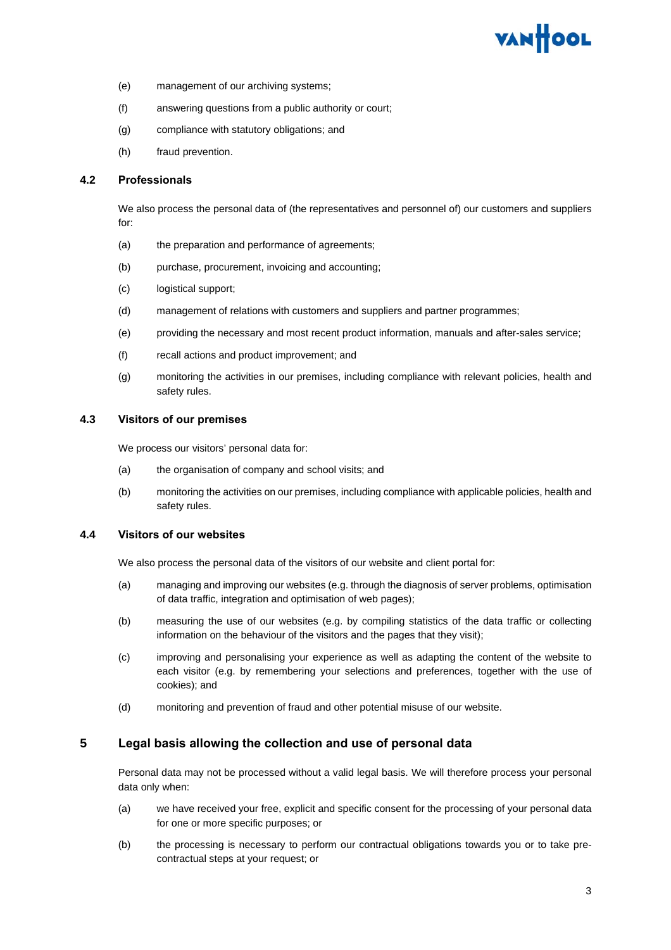# **VANHOOL**

- (e) management of our archiving systems;
- (f) answering questions from a public authority or court;
- (g) compliance with statutory obligations; and
- (h) fraud prevention.

#### **4.2 Professionals**

We also process the personal data of (the representatives and personnel of) our customers and suppliers for:

- (a) the preparation and performance of agreements;
- (b) purchase, procurement, invoicing and accounting;
- (c) logistical support;
- (d) management of relations with customers and suppliers and partner programmes;
- (e) providing the necessary and most recent product information, manuals and after-sales service;
- (f) recall actions and product improvement; and
- (g) monitoring the activities in our premises, including compliance with relevant policies, health and safety rules.

## **4.3 Visitors of our premises**

We process our visitors' personal data for:

- (a) the organisation of company and school visits; and
- (b) monitoring the activities on our premises, including compliance with applicable policies, health and safety rules.

#### **4.4 Visitors of our websites**

We also process the personal data of the visitors of our website and client portal for:

- (a) managing and improving our websites (e.g. through the diagnosis of server problems, optimisation of data traffic, integration and optimisation of web pages);
- (b) measuring the use of our websites (e.g. by compiling statistics of the data traffic or collecting information on the behaviour of the visitors and the pages that they visit);
- (c) improving and personalising your experience as well as adapting the content of the website to each visitor (e.g. by remembering your selections and preferences, together with the use of cookies); and
- (d) monitoring and prevention of fraud and other potential misuse of our website.

# **5 Legal basis allowing the collection and use of personal data**

Personal data may not be processed without a valid legal basis. We will therefore process your personal data only when:

- (a) we have received your free, explicit and specific consent for the processing of your personal data for one or more specific purposes; or
- (b) the processing is necessary to perform our contractual obligations towards you or to take precontractual steps at your request; or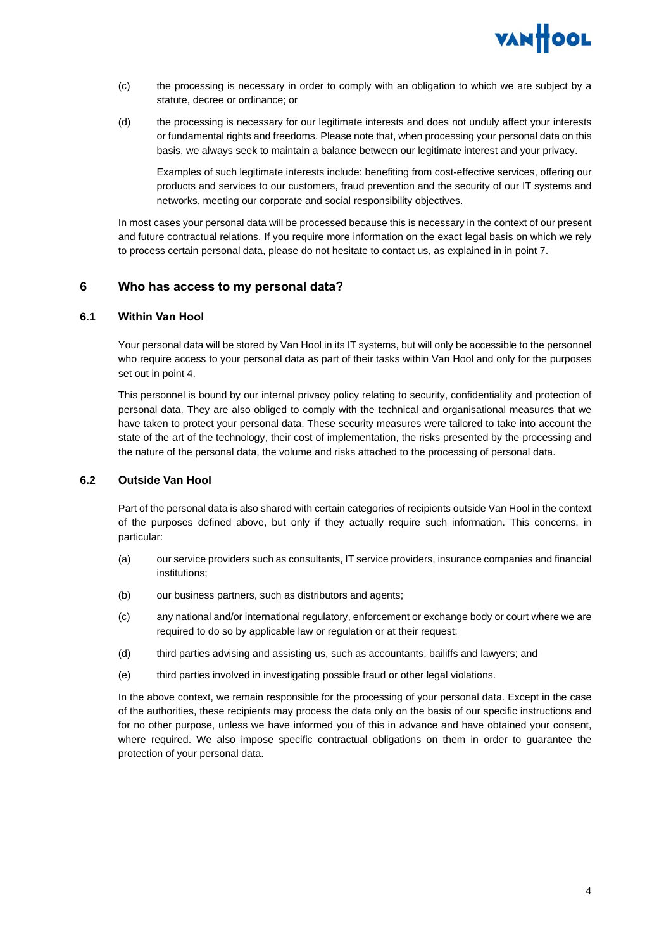

- (c) the processing is necessary in order to comply with an obligation to which we are subject by a statute, decree or ordinance; or
- (d) the processing is necessary for our legitimate interests and does not unduly affect your interests or fundamental rights and freedoms. Please note that, when processing your personal data on this basis, we always seek to maintain a balance between our legitimate interest and your privacy.

Examples of such legitimate interests include: benefiting from cost-effective services, offering our products and services to our customers, fraud prevention and the security of our IT systems and networks, meeting our corporate and social responsibility objectives.

In most cases your personal data will be processed because this is necessary in the context of our present and future contractual relations. If you require more information on the exact legal basis on which we rely to process certain personal data, please do not hesitate to contact us, as explained in in point 7.

## **6 Who has access to my personal data?**

#### **6.1 Within Van Hool**

Your personal data will be stored by Van Hool in its IT systems, but will only be accessible to the personnel who require access to your personal data as part of their tasks within Van Hool and only for the purposes set out in point 4.

This personnel is bound by our internal privacy policy relating to security, confidentiality and protection of personal data. They are also obliged to comply with the technical and organisational measures that we have taken to protect your personal data. These security measures were tailored to take into account the state of the art of the technology, their cost of implementation, the risks presented by the processing and the nature of the personal data, the volume and risks attached to the processing of personal data.

#### **6.2 Outside Van Hool**

Part of the personal data is also shared with certain categories of recipients outside Van Hool in the context of the purposes defined above, but only if they actually require such information. This concerns, in particular:

- (a) our service providers such as consultants, IT service providers, insurance companies and financial institutions;
- (b) our business partners, such as distributors and agents;
- (c) any national and/or international regulatory, enforcement or exchange body or court where we are required to do so by applicable law or regulation or at their request;
- (d) third parties advising and assisting us, such as accountants, bailiffs and lawyers; and
- (e) third parties involved in investigating possible fraud or other legal violations.

In the above context, we remain responsible for the processing of your personal data. Except in the case of the authorities, these recipients may process the data only on the basis of our specific instructions and for no other purpose, unless we have informed you of this in advance and have obtained your consent, where required. We also impose specific contractual obligations on them in order to guarantee the protection of your personal data.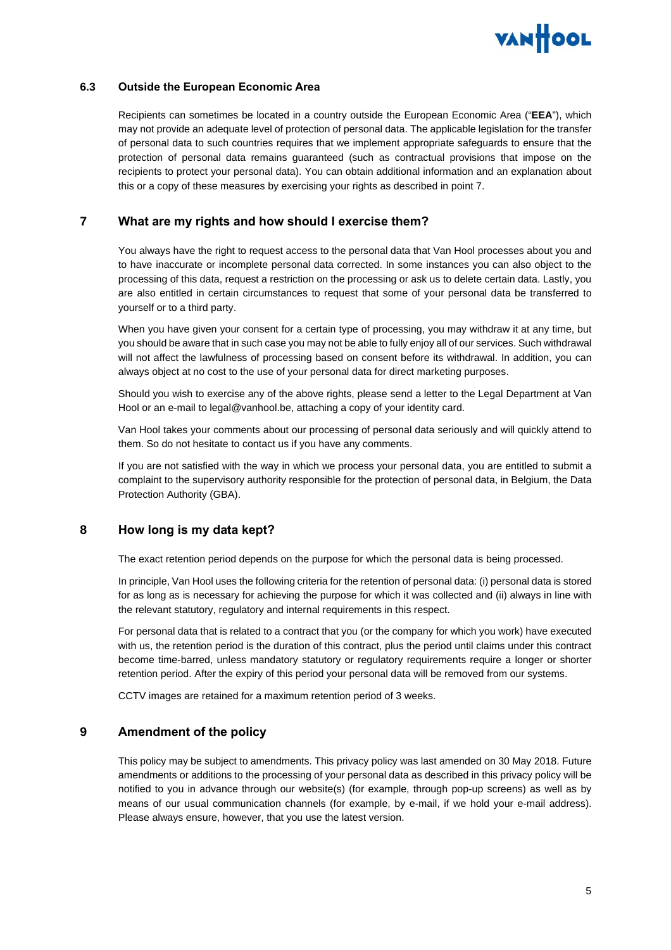

#### **6.3 Outside the European Economic Area**

Recipients can sometimes be located in a country outside the European Economic Area ("**EEA**"), which may not provide an adequate level of protection of personal data. The applicable legislation for the transfer of personal data to such countries requires that we implement appropriate safeguards to ensure that the protection of personal data remains guaranteed (such as contractual provisions that impose on the recipients to protect your personal data). You can obtain additional information and an explanation about this or a copy of these measures by exercising your rights as described in point 7.

# **7 What are my rights and how should I exercise them?**

You always have the right to request access to the personal data that Van Hool processes about you and to have inaccurate or incomplete personal data corrected. In some instances you can also object to the processing of this data, request a restriction on the processing or ask us to delete certain data. Lastly, you are also entitled in certain circumstances to request that some of your personal data be transferred to yourself or to a third party.

When you have given your consent for a certain type of processing, you may withdraw it at any time, but you should be aware that in such case you may not be able to fully enjoy all of our services. Such withdrawal will not affect the lawfulness of processing based on consent before its withdrawal. In addition, you can always object at no cost to the use of your personal data for direct marketing purposes.

Should you wish to exercise any of the above rights, please send a letter to the Legal Department at Van Hool or an e-mail to legal@vanhool.be, attaching a copy of your identity card.

Van Hool takes your comments about our processing of personal data seriously and will quickly attend to them. So do not hesitate to contact us if you have any comments.

If you are not satisfied with the way in which we process your personal data, you are entitled to submit a complaint to the supervisory authority responsible for the protection of personal data, in Belgium, the Data Protection Authority (GBA).

#### **8 How long is my data kept?**

The exact retention period depends on the purpose for which the personal data is being processed.

In principle, Van Hool uses the following criteria for the retention of personal data: (i) personal data is stored for as long as is necessary for achieving the purpose for which it was collected and (ii) always in line with the relevant statutory, regulatory and internal requirements in this respect.

For personal data that is related to a contract that you (or the company for which you work) have executed with us, the retention period is the duration of this contract, plus the period until claims under this contract become time-barred, unless mandatory statutory or regulatory requirements require a longer or shorter retention period. After the expiry of this period your personal data will be removed from our systems.

CCTV images are retained for a maximum retention period of 3 weeks.

## **9 Amendment of the policy**

This policy may be subject to amendments. This privacy policy was last amended on 30 May 2018. Future amendments or additions to the processing of your personal data as described in this privacy policy will be notified to you in advance through our website(s) (for example, through pop-up screens) as well as by means of our usual communication channels (for example, by e-mail, if we hold your e-mail address). Please always ensure, however, that you use the latest version.